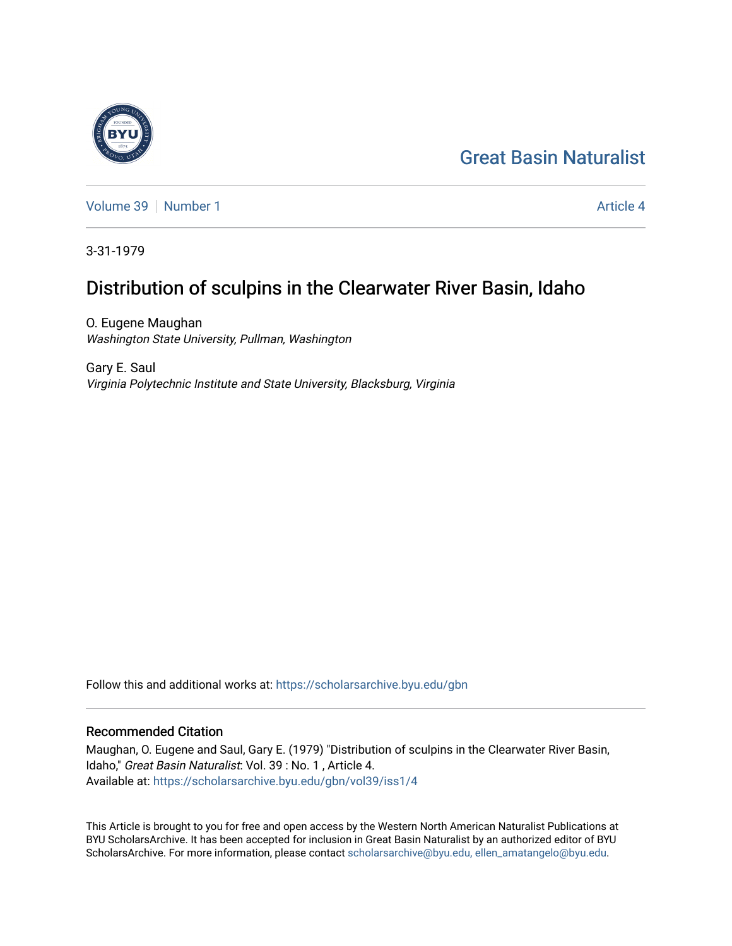# [Great Basin Naturalist](https://scholarsarchive.byu.edu/gbn)

[Volume 39](https://scholarsarchive.byu.edu/gbn/vol39) [Number 1](https://scholarsarchive.byu.edu/gbn/vol39/iss1) [Article 4](https://scholarsarchive.byu.edu/gbn/vol39/iss1/4) Article 4 Article 4 Article 4 Article 4 Article 4 Article 4

3-31-1979

## Distribution of sculpins in the Clearwater River Basin, Idaho

O. Eugene Maughan Washington State University, Pullman, Washington

Gary E. Saul Virginia Polytechnic Institute and State University, Blacksburg, Virginia

Follow this and additional works at: [https://scholarsarchive.byu.edu/gbn](https://scholarsarchive.byu.edu/gbn?utm_source=scholarsarchive.byu.edu%2Fgbn%2Fvol39%2Fiss1%2F4&utm_medium=PDF&utm_campaign=PDFCoverPages) 

### Recommended Citation

Maughan, O. Eugene and Saul, Gary E. (1979) "Distribution of sculpins in the Clearwater River Basin, Idaho," Great Basin Naturalist: Vol. 39 : No. 1 , Article 4. Available at: [https://scholarsarchive.byu.edu/gbn/vol39/iss1/4](https://scholarsarchive.byu.edu/gbn/vol39/iss1/4?utm_source=scholarsarchive.byu.edu%2Fgbn%2Fvol39%2Fiss1%2F4&utm_medium=PDF&utm_campaign=PDFCoverPages)

This Article is brought to you for free and open access by the Western North American Naturalist Publications at BYU ScholarsArchive. It has been accepted for inclusion in Great Basin Naturalist by an authorized editor of BYU ScholarsArchive. For more information, please contact [scholarsarchive@byu.edu, ellen\\_amatangelo@byu.edu.](mailto:scholarsarchive@byu.edu,%20ellen_amatangelo@byu.edu)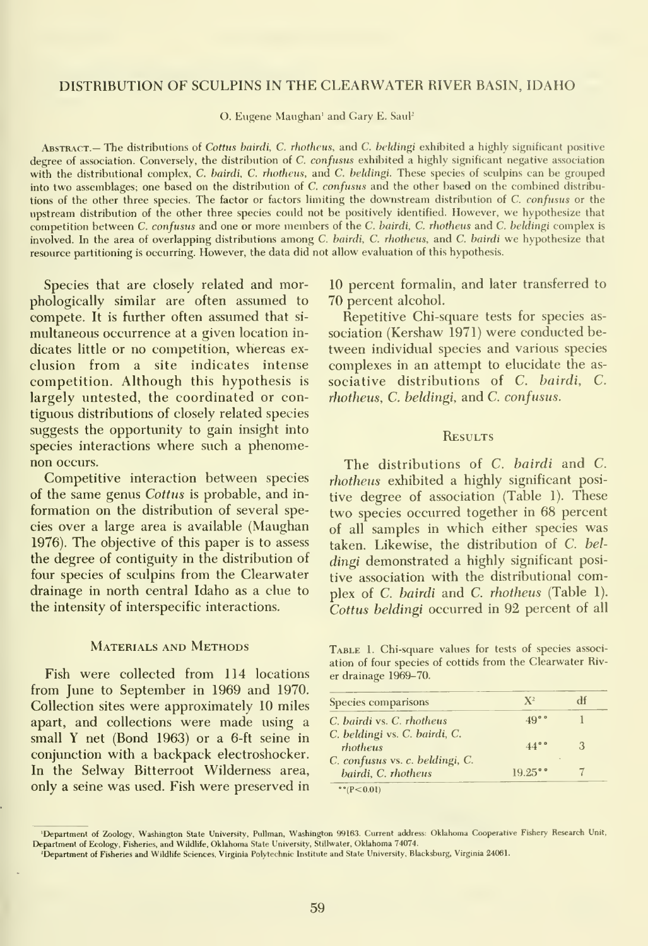#### DISTRIBUTION OF SCULPINS IN THE CLEARWATER RIVER BASIN, IDAHO

O. Eugene Maughan' and Gary E. Saul<sup>2</sup>

ABSTRACT.— The distributions of Cottus bairdi, C. rhotheus, and C. beldingi exhibited a highly significant positive degree of association. Conversely, the distribution of C. confusus exhibited a highly significant negative association with the distributional complex, C. bairdi, C. rhotheus, and C. beldingi. These species of sculpins can be grouped into two assemblages; one based on the distribution of C. confusus and the other based on the combined distributions of the other three species. The factor or factors limiting the downstream distribution of C. confusus or the upstream distribution of the other three species could not be positively identified. However, we hypothesize that competition between C. confusus and one or more members of the C. bairdi, C. rhotheus and C. beldingi complex is involved. In the area of overlapping distributions among C. bairdi, C. rhotheus, and C. bairdi we hypothesize that resource partitioning is occurring. However, the data did not allow evaluation of this hypothesis.

Species that are closely related and morphologically similar are often assumed to compete. It is further often assumed that si multaneous occurrence at a given location in dicates little or no competition, whereas ex clusion from a site indicates intense competition. Although this hypothesis is largely untested, the coordinated or contiguous distributions of closely related species suggests the opportunity to gain insight into species interactions where such a phenomenon occurs.

Competitive interaction between species of the same genus Cottus is probable, and information on the distribution of several species over a large area is available (Maughan 1976). The objective of this paper is to assess the degree of contiguity in the distribution of four species of sculpins from the Clearwater drainage in north central Idaho as a clue to the intensity of interspecific interactions.

#### MATERIALS AND METHODS

Fish were collected from 114 locations from June to September in 1969 and 1970. Collection sites were approximately 10 miles apart, and collections were made using a small Y net (Bond 1963) or a 6-ft seine in conjunction with a backpack electroshocker. In the Selway Bitterroot Wilderness area, only a seine was used. Fish were preserved in

10 percent formalin, and later transferred to 70 percent alcohol.

Repetitive Chi-square tests for species as sociation (Kershaw 1971) were conducted be tween individual species and various species complexes in an attempt to elucidate the as sociative distributions of C. bairdi, C. rhotheus, C. beldingi, and C. confusus.

#### **RESULTS**

The distributions of C. bairdi and C. rhotheus exhibited a highly significant positive degree of association (Table 1). These two species occurred together in 68 percent of all samples in which either species was taken. Likewise, the distribution of C. bel dingi demonstrated a highly significant positive association with the distributional complex of C. bairdi and C. rhotheus (Table 1). Cottus beldingi occurred in 92 percent of all

Table 1. Chi-square values for tests of species associ ation of four species of cottids from the Clearwater River drainage 1969-70.

| Species comparisons                                    | $X^2$        |  |
|--------------------------------------------------------|--------------|--|
| C. bairdi vs. C. rhotheus                              | 49°°         |  |
| C. beldingi vs. C. bairdi, C.<br>rhotheus              | $44^{\circ}$ |  |
| C. confusus vs. c. beldingi, C.<br>bairdi, C. rhotheus | $19.25$ °°   |  |

 $• (P < 0.01)$ 

<sup>- &#</sup>x27;Department of Zoology, Washington State University, Pullman, Washington 99163. Current address: Oklahoma Cooperative Fishery Research Unit,<br>Department of Ecology, Fisheries, and Wildlife, Oklahoma State University, Stil

<sup>&#</sup>x27;Department of Fisheries and Wildlife Sciences, Virginia Polytechnic Institute and State University, Blacksburg, Virginia 24061.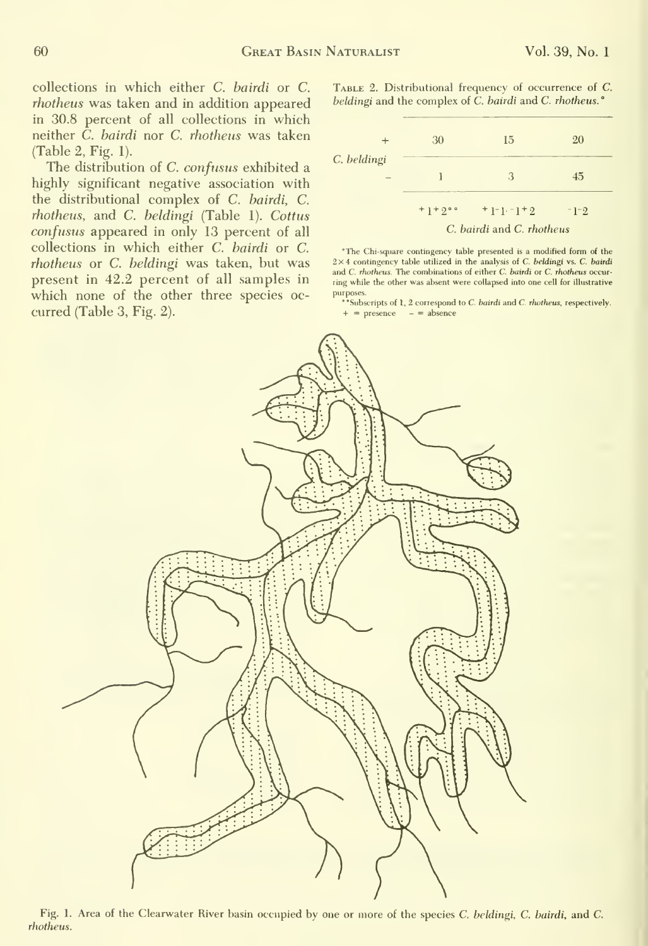collections in which either C. bairdi or C. rhotheus was taken and in addition appeared in 30.8 percent of all collections in which neither  $\tilde{C}$ . bairdi nor  $C$ . rhotheus was taken (Table 2, Fig. 1).

The distribution of C. confusus exhibited a highly significant negative association with the distributional complex of C. bairdi, C. rhotheus, and C. heldingi (Table 1). Cottus confusus appeared in only 13 percent of all collections in which either C. bairdi or C. rhotheus or C. beldingi was taken, but was present in 42.2 percent of all samples in which none of the other three species oc curred (Table 3, Fig. 2).

TABLE 2. Distributional frequency of occurrence of C. beldingi and the complex of C. bairdi and C. rhotheus.<sup>o</sup>



"The Chi-square contingency table presented is a modified form of the  $2\times4$  contingency table utilized in the analysis of C. beldingi vs. C. bairdi and C. rhotheus. The combinations of either C. bairdi or C. rhotheus occurring while the other was absent were collapsed into one cell for illustrative

purposes.<br>
\*\* Subscripts of 1, 2 correspond to *C. bairdi* and *C. rhotheus*, respectively.<br>  $+$  = presence - = absence



Fig. 1. Area of the Clearwater River basin occupied by one or more of the species C. beldingi, C. bairdi, and C. rhotheus.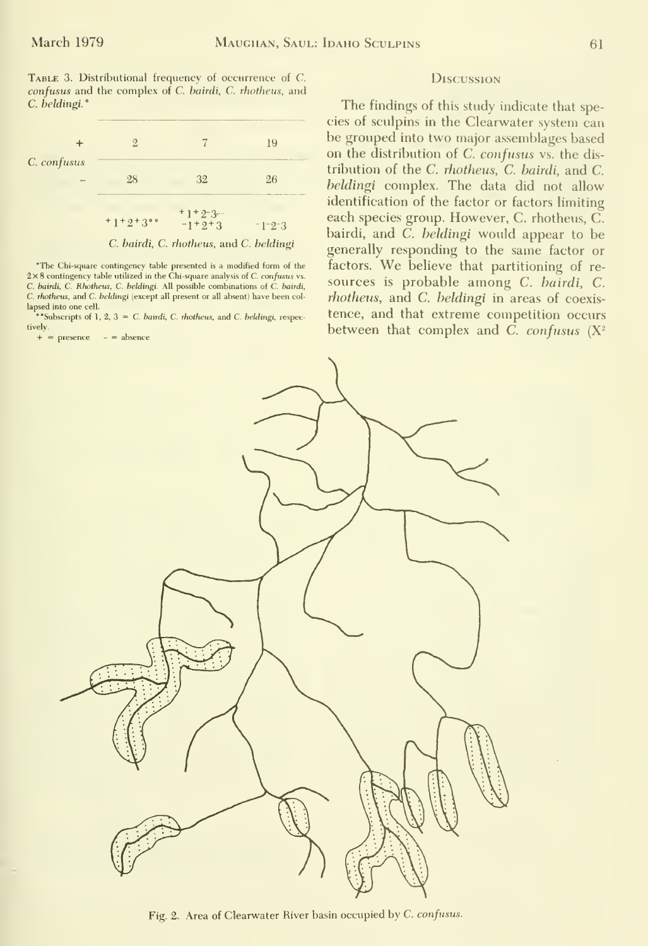|                  | 9        |                                         | --<br>19                                           |
|------------------|----------|-----------------------------------------|----------------------------------------------------|
| C. confusus<br>- | 28       | 32                                      | 26<br>The country of the complete complete and the |
|                  | $+1+2+3$ | $+1+2-3$<br>$-1 + 2 + 3$                | $-1-2-3$                                           |
|                  |          | C. bairdi, C. rhotheus, and C. beldingi |                                                    |

2×8 contingency table utilized in the Chi-square analysis of C. confusus vs. C. bairdi, C. Rhotheus. C. beldingi. All possible combinations of C. bairdi, C. rhotheus, and C. beldingi (except all present or all absent) have been col lapsed into one cell.

\*Subscripts of 1, 2,  $3 = C$ . bairdi, C. rhotheus, and C. beldingi, respectively.

 $+$  = presence  $-$  = absence

#### DISCUSSION

The findings of this study indicate that species of sculpins in the Clearwater system can be grouped into two major assemblages based on the distribution of C. confusus vs. the distribution of the C. rhotheus, C. bairdi, and C. beldingi complex. The data did not allow identification of the factor or factors limiting each species group. However, C. rhotheus, C. bairdi, and  $\overrightarrow{C}$ . *beldingi* would appear to be generally responding to the same factor or 'The Chi-square contingency table presented is a modified form of the factors. We believe that partitioning of resources is probable among C. bairdi, C. rhotheus, and C. beldingi in areas of coexistence, and that extreme competition occurs between that complex and C. confusus  $(X^2)$ 



Fig. 2. Area of Clearwater River basin occupied by C. confusus.